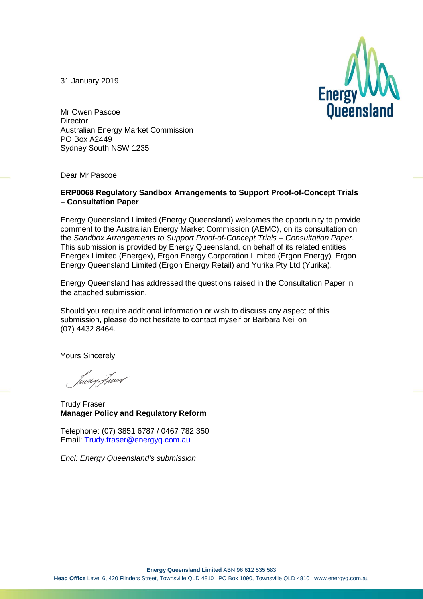31 January 2019



Mr Owen Pascoe **Director** Australian Energy Market Commission PO Box A2449 Sydney South NSW 1235

Dear Mr Pascoe

#### **ERP0068 Regulatory Sandbox Arrangements to Support Proof-of-Concept Trials – Consultation Paper**

Energy Queensland Limited (Energy Queensland) welcomes the opportunity to provide comment to the Australian Energy Market Commission (AEMC), on its consultation on the *Sandbox Arrangements to Support Proof-of-Concept Trials – Consultation Paper*. This submission is provided by Energy Queensland, on behalf of its related entities Energex Limited (Energex), Ergon Energy Corporation Limited (Ergon Energy), Ergon Energy Queensland Limited (Ergon Energy Retail) and Yurika Pty Ltd (Yurika).

Energy Queensland has addressed the questions raised in the Consultation Paper in the attached submission.

Should you require additional information or wish to discuss any aspect of this submission, please do not hesitate to contact myself or Barbara Neil on (07) 4432 8464.

Yours Sincerely

tuery Four

Trudy Fraser **Manager Policy and Regulatory Reform**

Telephone: (07) 3851 6787 / 0467 782 350 Email: [Trudy.fraser@energyq.com.au](mailto:Trudy.fraser@energyq.com.au)

*Encl: Energy Queensland's submission*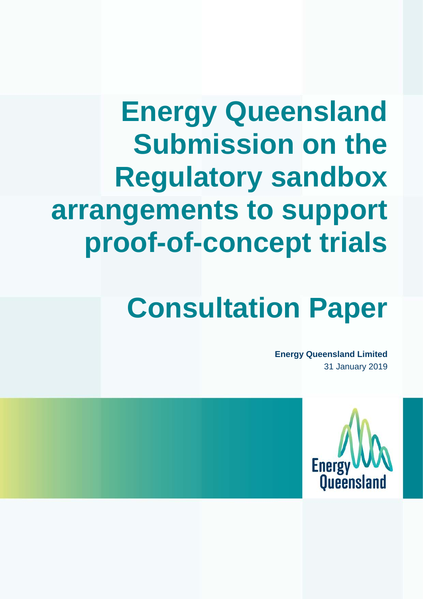## **Energy Queensland Submission on the Regulatory sandbox arrangements to support proof-of-concept trials**

# **Consultation Paper**

**Energy Queensland Limited** 31 January 2019

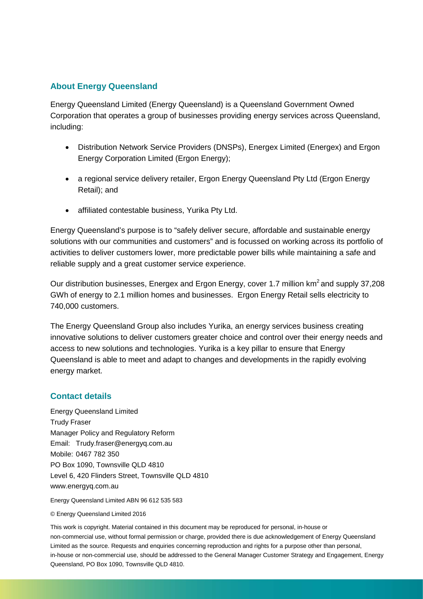### **About Energy Queensland**

Energy Queensland Limited (Energy Queensland) is a Queensland Government Owned Corporation that operates a group of businesses providing energy services across Queensland, including:

- Distribution Network Service Providers (DNSPs), Energex Limited (Energex) and Ergon Energy Corporation Limited (Ergon Energy);
- a regional service delivery retailer, Ergon Energy Queensland Pty Ltd (Ergon Energy Retail); and
- affiliated contestable business, Yurika Pty Ltd.

Energy Queensland's purpose is to "safely deliver secure, affordable and sustainable energy solutions with our communities and customers" and is focussed on working across its portfolio of activities to deliver customers lower, more predictable power bills while maintaining a safe and reliable supply and a great customer service experience.

Our distribution businesses, Energex and Ergon Energy, cover 1.7 million km<sup>2</sup> and supply 37.208 GWh of energy to 2.1 million homes and businesses. Ergon Energy Retail sells electricity to 740,000 customers.

The Energy Queensland Group also includes Yurika, an energy services business creating innovative solutions to deliver customers greater choice and control over their energy needs and access to new solutions and technologies. Yurika is a key pillar to ensure that Energy Queensland is able to meet and adapt to changes and developments in the rapidly evolving energy market.

#### **Contact details**

Energy Queensland Limited Trudy Fraser Manager Policy and Regulatory Reform Email: Trudy.fraser@energyq.com.au Mobile: 0467 782 350 PO Box 1090, Townsville QLD 4810 Level 6, 420 Flinders Street, Townsville QLD 4810 www.energyq.com.au

Energy Queensland Limited ABN 96 612 535 583

#### © Energy Queensland Limited 2016

This work is copyright. Material contained in this document may be reproduced for personal, in-house or non-commercial use, without formal permission or charge, provided there is due acknowledgement of Energy Queensland Limited as the source. Requests and enquiries concerning reproduction and rights for a purpose other than personal, in-house or non-commercial use, should be addressed to the General Manager Customer Strategy and Engagement, Energy Queensland, PO Box 1090, Townsville QLD 4810.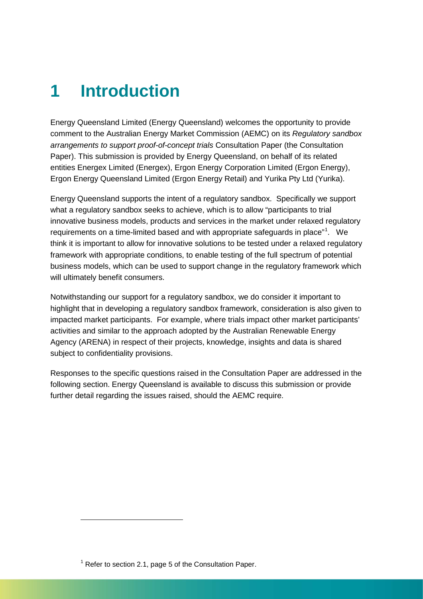## **1 Introduction**

Energy Queensland Limited (Energy Queensland) welcomes the opportunity to provide comment to the Australian Energy Market Commission (AEMC) on its *Regulatory sandbox arrangements to support proof-of-concept trials* Consultation Paper (the Consultation Paper). This submission is provided by Energy Queensland, on behalf of its related entities Energex Limited (Energex), Ergon Energy Corporation Limited (Ergon Energy), Ergon Energy Queensland Limited (Ergon Energy Retail) and Yurika Pty Ltd (Yurika).

Energy Queensland supports the intent of a regulatory sandbox. Specifically we support what a regulatory sandbox seeks to achieve, which is to allow "participants to trial innovative business models, products and services in the market under relaxed regulatory requirements on a time-limited based and with appropriate safeguards in place"<sup>[1](#page-3-0)</sup>. We think it is important to allow for innovative solutions to be tested under a relaxed regulatory framework with appropriate conditions, to enable testing of the full spectrum of potential business models, which can be used to support change in the regulatory framework which will ultimately benefit consumers.

Notwithstanding our support for a regulatory sandbox, we do consider it important to highlight that in developing a regulatory sandbox framework, consideration is also given to impacted market participants. For example, where trials impact other market participants' activities and similar to the approach adopted by the Australian Renewable Energy Agency (ARENA) in respect of their projects, knowledge, insights and data is shared subject to confidentiality provisions.

Responses to the specific questions raised in the Consultation Paper are addressed in the following section. Energy Queensland is available to discuss this submission or provide further detail regarding the issues raised, should the AEMC require.

-

<span id="page-3-0"></span> $1$  Refer to section 2.1, page 5 of the Consultation Paper.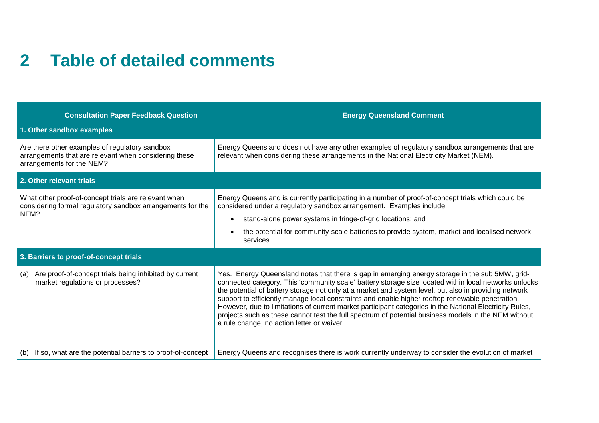### **2 Table of detailed comments**

| <b>Consultation Paper Feedback Question</b>                                                                                          | <b>Energy Queensland Comment</b>                                                                                                                                                                                                                                                                                                                                                                                                                                                                                                                                                                                                                                                       |
|--------------------------------------------------------------------------------------------------------------------------------------|----------------------------------------------------------------------------------------------------------------------------------------------------------------------------------------------------------------------------------------------------------------------------------------------------------------------------------------------------------------------------------------------------------------------------------------------------------------------------------------------------------------------------------------------------------------------------------------------------------------------------------------------------------------------------------------|
| 1. Other sandbox examples                                                                                                            |                                                                                                                                                                                                                                                                                                                                                                                                                                                                                                                                                                                                                                                                                        |
| Are there other examples of regulatory sandbox<br>arrangements that are relevant when considering these<br>arrangements for the NEM? | Energy Queensland does not have any other examples of regulatory sandbox arrangements that are<br>relevant when considering these arrangements in the National Electricity Market (NEM).                                                                                                                                                                                                                                                                                                                                                                                                                                                                                               |
| 2. Other relevant trials                                                                                                             |                                                                                                                                                                                                                                                                                                                                                                                                                                                                                                                                                                                                                                                                                        |
| What other proof-of-concept trials are relevant when<br>considering formal regulatory sandbox arrangements for the<br>NEM?           | Energy Queensland is currently participating in a number of proof-of-concept trials which could be<br>considered under a regulatory sandbox arrangement. Examples include:<br>stand-alone power systems in fringe-of-grid locations; and<br>$\bullet$<br>the potential for community-scale batteries to provide system, market and localised network<br>$\bullet$<br>services.                                                                                                                                                                                                                                                                                                         |
| 3. Barriers to proof-of-concept trials                                                                                               |                                                                                                                                                                                                                                                                                                                                                                                                                                                                                                                                                                                                                                                                                        |
| Are proof-of-concept trials being inhibited by current<br>(a)<br>market regulations or processes?                                    | Yes. Energy Queensland notes that there is gap in emerging energy storage in the sub 5MW, grid-<br>connected category. This 'community scale' battery storage size located within local networks unlocks<br>the potential of battery storage not only at a market and system level, but also in providing network<br>support to efficiently manage local constraints and enable higher rooftop renewable penetration.<br>However, due to limitations of current market participant categories in the National Electricity Rules,<br>projects such as these cannot test the full spectrum of potential business models in the NEM without<br>a rule change, no action letter or waiver. |
| If so, what are the potential barriers to proof-of-concept<br>(b)                                                                    | Energy Queensland recognises there is work currently underway to consider the evolution of market                                                                                                                                                                                                                                                                                                                                                                                                                                                                                                                                                                                      |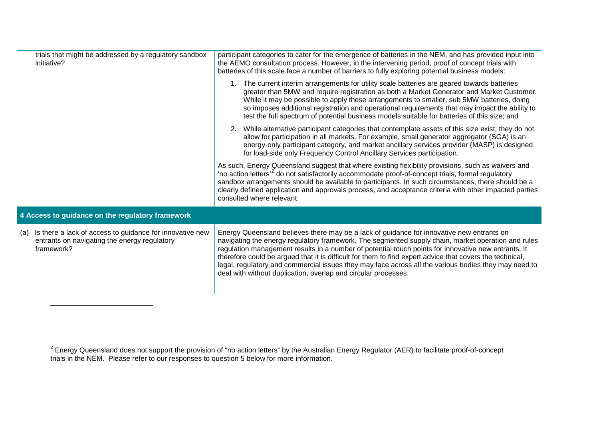<span id="page-5-0"></span>

|                                                  | trials that might be addressed by a regulatory sandbox<br>initiative?                                                  | participant categories to cater for the emergence of batteries in the NEM, and has provided input into<br>the AEMO consultation process. However, in the intervening period, proof of concept trials with<br>batteries of this scale face a number of barriers to fully exploring potential business models:                                                                                                                                                                                                                                                                                 |
|--------------------------------------------------|------------------------------------------------------------------------------------------------------------------------|----------------------------------------------------------------------------------------------------------------------------------------------------------------------------------------------------------------------------------------------------------------------------------------------------------------------------------------------------------------------------------------------------------------------------------------------------------------------------------------------------------------------------------------------------------------------------------------------|
|                                                  |                                                                                                                        | 1. The current interim arrangements for utility scale batteries are geared towards batteries<br>greater than 5MW and require registration as both a Market Generator and Market Customer.<br>While it may be possible to apply these arrangements to smaller, sub 5MW batteries, doing<br>so imposes additional registration and operational requirements that may impact the ability to<br>test the full spectrum of potential business models suitable for batteries of this size; and                                                                                                     |
|                                                  |                                                                                                                        | 2. While alternative participant categories that contemplate assets of this size exist, they do not<br>allow for participation in all markets. For example, small generator aggregator (SGA) is an<br>energy-only participant category, and market ancillary services provider (MASP) is designed<br>for load-side only Frequency Control Ancillary Services participation.                                                                                                                                                                                                                  |
|                                                  |                                                                                                                        | As such, Energy Queensland suggest that where existing flexibility provisions, such as waivers and<br>'no action letters <sup>'2</sup> do not satisfactorily accommodate proof-of-concept trials, formal regulatory<br>sandbox arrangements should be available to participants. In such circumstances, there should be a<br>clearly defined application and approvals process, and acceptance criteria with other impacted parties<br>consulted where relevant.                                                                                                                             |
| 4 Access to guidance on the regulatory framework |                                                                                                                        |                                                                                                                                                                                                                                                                                                                                                                                                                                                                                                                                                                                              |
| (a)                                              | Is there a lack of access to guidance for innovative new<br>entrants on navigating the energy regulatory<br>framework? | Energy Queensland believes there may be a lack of guidance for innovative new entrants on<br>navigating the energy regulatory framework. The segmented supply chain, market operation and rules<br>regulation management results in a number of potential touch points for innovative new entrants. It<br>therefore could be argued that it is difficult for them to find expert advice that covers the technical,<br>legal, regulatory and commercial issues they may face across all the various bodies they may need to<br>deal with without duplication, overlap and circular processes. |

j

 $^2$  Energy Queensland does not support the provision of "no action letters" by the Australian Energy Regulator (AER) to facilitate proof-of-concept trials in the NEM. Please refer to our responses to question 5 below for more information.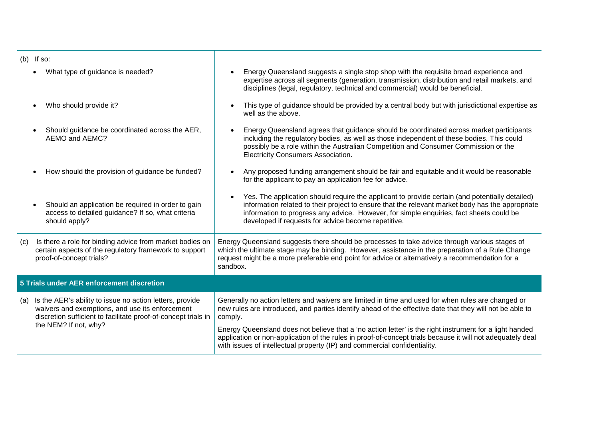| $(b)$ If so:                                                                                                                                                                                                  |                                                                                                                                                                                                                                                                                                                                                       |
|---------------------------------------------------------------------------------------------------------------------------------------------------------------------------------------------------------------|-------------------------------------------------------------------------------------------------------------------------------------------------------------------------------------------------------------------------------------------------------------------------------------------------------------------------------------------------------|
| What type of guidance is needed?                                                                                                                                                                              | Energy Queensland suggests a single stop shop with the requisite broad experience and<br>expertise across all segments (generation, transmission, distribution and retail markets, and<br>disciplines (legal, regulatory, technical and commercial) would be beneficial.                                                                              |
| Who should provide it?<br>$\bullet$                                                                                                                                                                           | This type of guidance should be provided by a central body but with jurisdictional expertise as<br>$\bullet$<br>well as the above.                                                                                                                                                                                                                    |
| Should guidance be coordinated across the AER,<br>$\bullet$<br>AEMO and AEMC?                                                                                                                                 | Energy Queensland agrees that guidance should be coordinated across market participants<br>including the regulatory bodies, as well as those independent of these bodies. This could<br>possibly be a role within the Australian Competition and Consumer Commission or the<br>Electricity Consumers Association.                                     |
| How should the provision of guidance be funded?                                                                                                                                                               | Any proposed funding arrangement should be fair and equitable and it would be reasonable<br>for the applicant to pay an application fee for advice.                                                                                                                                                                                                   |
| Should an application be required in order to gain<br>$\bullet$<br>access to detailed guidance? If so, what criteria<br>should apply?                                                                         | Yes. The application should require the applicant to provide certain (and potentially detailed)<br>information related to their project to ensure that the relevant market body has the appropriate<br>information to progress any advice. However, for simple enquiries, fact sheets could be<br>developed if requests for advice become repetitive. |
| Is there a role for binding advice from market bodies on<br>(C)<br>certain aspects of the regulatory framework to support<br>proof-of-concept trials?                                                         | Energy Queensland suggests there should be processes to take advice through various stages of<br>which the ultimate stage may be binding. However, assistance in the preparation of a Rule Change<br>request might be a more preferable end point for advice or alternatively a recommendation for a<br>sandbox.                                      |
| 5 Trials under AER enforcement discretion                                                                                                                                                                     |                                                                                                                                                                                                                                                                                                                                                       |
| Is the AER's ability to issue no action letters, provide<br>(a)<br>waivers and exemptions, and use its enforcement<br>discretion sufficient to facilitate proof-of-concept trials in<br>the NEM? If not, why? | Generally no action letters and waivers are limited in time and used for when rules are changed or<br>new rules are introduced, and parties identify ahead of the effective date that they will not be able to<br>comply.                                                                                                                             |
|                                                                                                                                                                                                               | Energy Queensland does not believe that a 'no action letter' is the right instrument for a light handed<br>application or non-application of the rules in proof-of-concept trials because it will not adequately deal<br>with issues of intellectual property (IP) and commercial confidentiality.                                                    |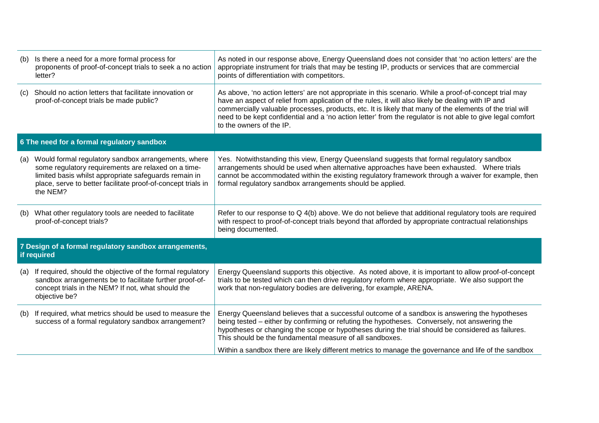|                                                                      | (b) Is there a need for a more formal process for<br>proponents of proof-of-concept trials to seek a no action<br>letter?                                                                                                                       | As noted in our response above, Energy Queensland does not consider that 'no action letters' are the<br>appropriate instrument for trials that may be testing IP, products or services that are commercial<br>points of differentiation with competitors.                                                                                                                                                                                                          |  |
|----------------------------------------------------------------------|-------------------------------------------------------------------------------------------------------------------------------------------------------------------------------------------------------------------------------------------------|--------------------------------------------------------------------------------------------------------------------------------------------------------------------------------------------------------------------------------------------------------------------------------------------------------------------------------------------------------------------------------------------------------------------------------------------------------------------|--|
| (C)                                                                  | Should no action letters that facilitate innovation or<br>proof-of-concept trials be made public?                                                                                                                                               | As above, 'no action letters' are not appropriate in this scenario. While a proof-of-concept trial may<br>have an aspect of relief from application of the rules, it will also likely be dealing with IP and<br>commercially valuable processes, products, etc. It is likely that many of the elements of the trial will<br>need to be kept confidential and a 'no action letter' from the regulator is not able to give legal comfort<br>to the owners of the IP. |  |
|                                                                      | 6 The need for a formal regulatory sandbox                                                                                                                                                                                                      |                                                                                                                                                                                                                                                                                                                                                                                                                                                                    |  |
| (a)                                                                  | Would formal regulatory sandbox arrangements, where<br>some regulatory requirements are relaxed on a time-<br>limited basis whilst appropriate safeguards remain in<br>place, serve to better facilitate proof-of-concept trials in<br>the NEM? | Yes. Notwithstanding this view, Energy Queensland suggests that formal regulatory sandbox<br>arrangements should be used when alternative approaches have been exhausted. Where trials<br>cannot be accommodated within the existing regulatory framework through a waiver for example, then<br>formal regulatory sandbox arrangements should be applied.                                                                                                          |  |
|                                                                      | (b) What other regulatory tools are needed to facilitate<br>proof-of-concept trials?                                                                                                                                                            | Refer to our response to $Q_4(b)$ above. We do not believe that additional regulatory tools are required<br>with respect to proof-of-concept trials beyond that afforded by appropriate contractual relationships<br>being documented.                                                                                                                                                                                                                             |  |
| 7 Design of a formal regulatory sandbox arrangements,<br>if required |                                                                                                                                                                                                                                                 |                                                                                                                                                                                                                                                                                                                                                                                                                                                                    |  |
| (a)                                                                  | If required, should the objective of the formal regulatory<br>sandbox arrangements be to facilitate further proof-of-<br>concept trials in the NEM? If not, what should the<br>objective be?                                                    | Energy Queensland supports this objective. As noted above, it is important to allow proof-of-concept<br>trials to be tested which can then drive regulatory reform where appropriate. We also support the<br>work that non-regulatory bodies are delivering, for example, ARENA.                                                                                                                                                                                   |  |
| (b)                                                                  | If required, what metrics should be used to measure the<br>success of a formal regulatory sandbox arrangement?                                                                                                                                  | Energy Queensland believes that a successful outcome of a sandbox is answering the hypotheses<br>being tested – either by confirming or refuting the hypotheses. Conversely, not answering the<br>hypotheses or changing the scope or hypotheses during the trial should be considered as failures.<br>This should be the fundamental measure of all sandboxes.                                                                                                    |  |
|                                                                      |                                                                                                                                                                                                                                                 | Within a sandbox there are likely different metrics to manage the governance and life of the sandbox                                                                                                                                                                                                                                                                                                                                                               |  |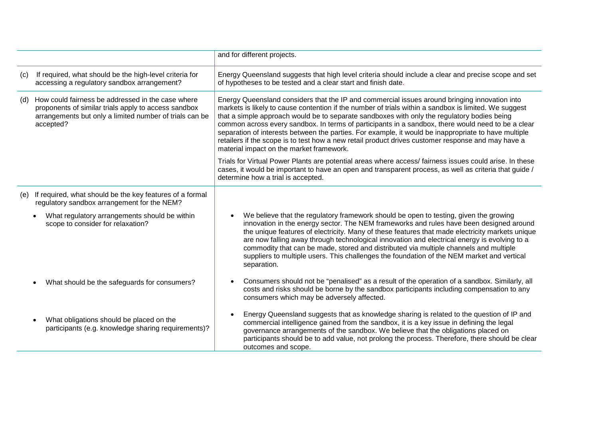|     |                                                                                                                                                                                   | and for different projects.                                                                                                                                                                                                                                                                                                                                                                                                                                                                                                                                                                                                                                           |
|-----|-----------------------------------------------------------------------------------------------------------------------------------------------------------------------------------|-----------------------------------------------------------------------------------------------------------------------------------------------------------------------------------------------------------------------------------------------------------------------------------------------------------------------------------------------------------------------------------------------------------------------------------------------------------------------------------------------------------------------------------------------------------------------------------------------------------------------------------------------------------------------|
| (c) | If required, what should be the high-level criteria for<br>accessing a regulatory sandbox arrangement?                                                                            | Energy Queensland suggests that high level criteria should include a clear and precise scope and set<br>of hypotheses to be tested and a clear start and finish date.                                                                                                                                                                                                                                                                                                                                                                                                                                                                                                 |
| (d) | How could fairness be addressed in the case where<br>proponents of similar trials apply to access sandbox<br>arrangements but only a limited number of trials can be<br>accepted? | Energy Queensland considers that the IP and commercial issues around bringing innovation into<br>markets is likely to cause contention if the number of trials within a sandbox is limited. We suggest<br>that a simple approach would be to separate sandboxes with only the regulatory bodies being<br>common across every sandbox. In terms of participants in a sandbox, there would need to be a clear<br>separation of interests between the parties. For example, it would be inappropriate to have multiple<br>retailers if the scope is to test how a new retail product drives customer response and may have a<br>material impact on the market framework. |
|     |                                                                                                                                                                                   | Trials for Virtual Power Plants are potential areas where access/fairness issues could arise. In these<br>cases, it would be important to have an open and transparent process, as well as criteria that guide /<br>determine how a trial is accepted.                                                                                                                                                                                                                                                                                                                                                                                                                |
| (e) | If required, what should be the key features of a formal<br>regulatory sandbox arrangement for the NEM?                                                                           |                                                                                                                                                                                                                                                                                                                                                                                                                                                                                                                                                                                                                                                                       |
|     | What regulatory arrangements should be within<br>$\bullet$<br>scope to consider for relaxation?                                                                                   | We believe that the regulatory framework should be open to testing, given the growing<br>innovation in the energy sector. The NEM frameworks and rules have been designed around<br>the unique features of electricity. Many of these features that made electricity markets unique<br>are now falling away through technological innovation and electrical energy is evolving to a<br>commodity that can be made, stored and distributed via multiple channels and multiple<br>suppliers to multiple users. This challenges the foundation of the NEM market and vertical<br>separation.                                                                             |
|     | What should be the safeguards for consumers?                                                                                                                                      | Consumers should not be "penalised" as a result of the operation of a sandbox. Similarly, all<br>$\bullet$<br>costs and risks should be borne by the sandbox participants including compensation to any<br>consumers which may be adversely affected.                                                                                                                                                                                                                                                                                                                                                                                                                 |
|     | What obligations should be placed on the<br>participants (e.g. knowledge sharing requirements)?                                                                                   | Energy Queensland suggests that as knowledge sharing is related to the question of IP and<br>$\bullet$<br>commercial intelligence gained from the sandbox, it is a key issue in defining the legal<br>governance arrangements of the sandbox. We believe that the obligations placed on<br>participants should be to add value, not prolong the process. Therefore, there should be clear<br>outcomes and scope.                                                                                                                                                                                                                                                      |